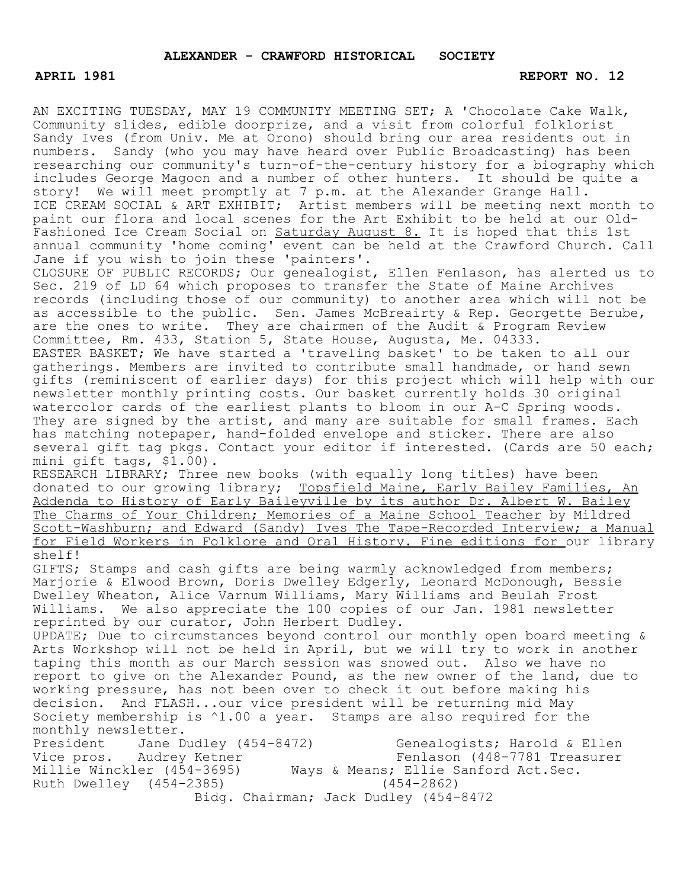## **APRIL 1981** REPORT NO. 12

AN EXCITING TUESDAY, MAY 19 COMMUNITY MEETING SET; A 'Chocolate Cake Walk, Community slides, edible doorprize, and a visit from colorful folklorist Sandy Ives (from Univ. Me at Orono) should bring our area residents out in numbers. Sandy (who you may have heard over Public Broadcasting) has been researching our community's turn-of-the-century history for a biography which includes George Magoon and a number of other hunters. It should be quite a story! We will meet promptly at 7 p.m. at the Alexander Grange Hall. ICE CREAM SOCIAL & ART EXHIBIT; Artist members will be meeting next month to paint our flora and local scenes for the Art Exhibit to be held at our Old-Fashioned Ice Cream Social on Saturday August 8. It is hoped that this 1st annual community 'home coming' event can be held at the Crawford Church. Call Jane if you wish to join these 'painters'. CLOSURE OF PUBLIC RECORDS; Our genealogist, Ellen Fenlason, has alerted us to

Sec. 219 of LD 64 which proposes to transfer the State of Maine Archives records (including those of our community) to another area which will not be as accessible to the public. Sen. James McBreairty & Rep. Georgette Berube, are the ones to write. They are chairmen of the Audit & Program Review Committee, Rm. 433, Station 5, State House, Augusta, Me. 04333. EASTER BASKET; We have started a 'traveling basket' to be taken to all our gatherings. Members are invited to contribute small handmade, or hand sewn gifts (reminiscent of earlier days) for this project which will help with our newsletter monthly printing costs. Our basket currently holds 30 original watercolor cards of the earliest plants to bloom in our A-C Spring woods. They are signed by the artist, and many are suitable for small frames. Each has matching notepaper, hand-folded envelope and sticker. There are also several gift tag pkgs. Contact your editor if interested. (Cards are 50 each; mini gift tags, \$1.00).

RESEARCH LIBRARY; Three new books (with equally long titles) have been donated to our growing library; Topsfield Maine, Early Bailey Families, An Addenda to History of Early Baileyville by its author Dr. Albert W. Bailey The Charms of Your Children; Memories of a Maine School Teacher by Mildred Scott-Washburn; and Edward (Sandy) Ives The Tape-Recorded Interview; a Manual for Field Workers in Folklore and Oral History. Fine editions for our library shelf!

GIFTS; Stamps and cash gifts are being warmly acknowledged from members; Marjorie & Elwood Brown, Doris Dwelley Edgerly, Leonard McDonough, Bessie Dwelley Wheaton, Alice Varnum Williams, Mary Williams and Beulah Frost Williams. We also appreciate the 100 copies of our Jan. 1981 newsletter reprinted by our curator, John Herbert Dudley.

UPDATE; Due to circumstances beyond control our monthly open board meeting & Arts Workshop will not be held in April, but we will try to work in another taping this month as our March session was snowed out. Also we have no report to give on the Alexander Pound, as the new owner of the land, due to working pressure, has not been over to check it out before making his decision. And FLASH...our vice president will be returning mid May Society membership is ^1.00 a year. Stamps are also required for the monthly newsletter.<br>President Jane Dudley (454-8472)

President Jane Dudley (454-8472) Genealogists; Harold & Ellen<br>Vice pros. Audrey Ketner Fenlason (448-7781 Treasurer Fenlason (448-7781 Treasurer Millie Winckler (454-3695) Ways & Means; Ellie Sanford Act.Sec. Ruth Dwelley (454-2385) (454-2862) Bidg. Chairman; Jack Dudley (454-8472